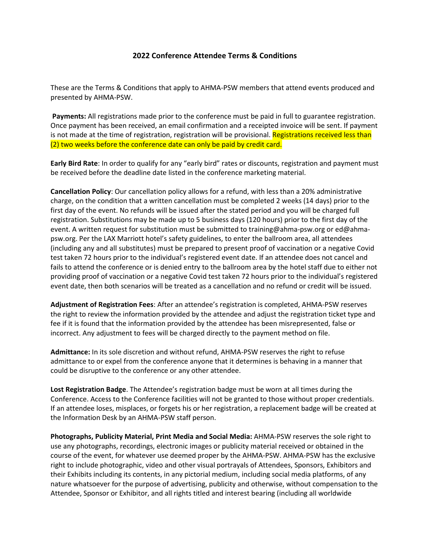## **2022 Conference Attendee Terms & Conditions**

These are the Terms & Conditions that apply to AHMA-PSW members that attend events produced and presented by AHMA-PSW.

**Payments:** All registrations made prior to the conference must be paid in full to guarantee registration. Once payment has been received, an email confirmation and a receipted invoice will be sent. If payment is not made at the time of registration, registration will be provisional. Registrations received less than (2) two weeks before the conference date can only be paid by credit card.

**Early Bird Rate**: In order to qualify for any "early bird" rates or discounts, registration and payment must be received before the deadline date listed in the conference marketing material.

**Cancellation Policy**: Our cancellation policy allows for a refund, with less than a 20% administrative charge, on the condition that a written cancellation must be completed 2 weeks (14 days) prior to the first day of the event. No refunds will be issued after the stated period and you will be charged full registration. Substitutions may be made up to 5 business days (120 hours) prior to the first day of the event. A written request for substitution must be submitted to training@ahma-psw.org or ed@ahmapsw.org. Per the LAX Marriott hotel's safety guidelines, to enter the ballroom area, all attendees (including any and all substitutes) must be prepared to present proof of vaccination or a negative Covid test taken 72 hours prior to the individual's registered event date. If an attendee does not cancel and fails to attend the conference or is denied entry to the ballroom area by the hotel staff due to either not providing proof of vaccination or a negative Covid test taken 72 hours prior to the individual's registered event date, then both scenarios will be treated as a cancellation and no refund or credit will be issued.

**Adjustment of Registration Fees**: After an attendee's registration is completed, AHMA-PSW reserves the right to review the information provided by the attendee and adjust the registration ticket type and fee if it is found that the information provided by the attendee has been misrepresented, false or incorrect. Any adjustment to fees will be charged directly to the payment method on file.

**Admittance:** In its sole discretion and without refund, AHMA-PSW reserves the right to refuse admittance to or expel from the conference anyone that it determines is behaving in a manner that could be disruptive to the conference or any other attendee.

**Lost Registration Badge**. The Attendee's registration badge must be worn at all times during the Conference. Access to the Conference facilities will not be granted to those without proper credentials. If an attendee loses, misplaces, or forgets his or her registration, a replacement badge will be created at the Information Desk by an AHMA-PSW staff person.

**Photographs, Publicity Material, Print Media and Social Media:** AHMA-PSW reserves the sole right to use any photographs, recordings, electronic images or publicity material received or obtained in the course of the event, for whatever use deemed proper by the AHMA-PSW. AHMA-PSW has the exclusive right to include photographic, video and other visual portrayals of Attendees, Sponsors, Exhibitors and their Exhibits including its contents, in any pictorial medium, including social media platforms, of any nature whatsoever for the purpose of advertising, publicity and otherwise, without compensation to the Attendee, Sponsor or Exhibitor, and all rights titled and interest bearing (including all worldwide